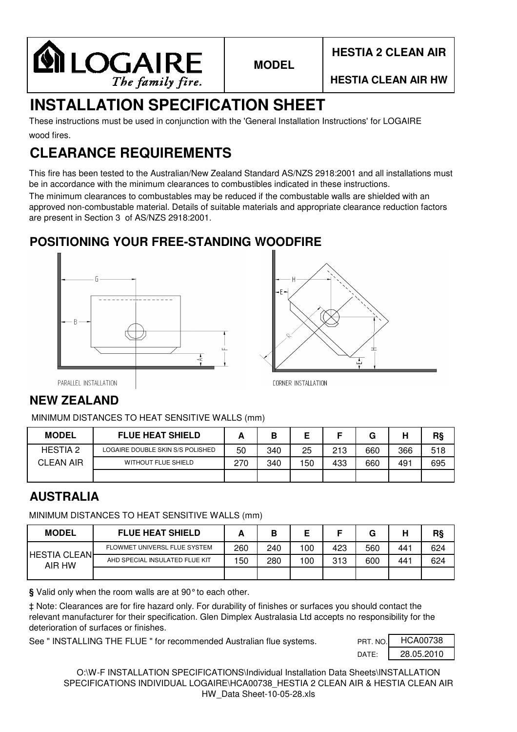

# **INSTALLATION SPECIFICATION SHEET**

wood fires. These instructions must be used in conjunction with the 'General Installation Instructions' for LOGAIRE

# **CLEARANCE REQUIREMENTS**

This fire has been tested to the Australian/New Zealand Standard AS/NZS 2918:2001 and all installations must be in accordance with the minimum clearances to combustibles indicated in these instructions.

The minimum clearances to combustables may be reduced if the combustable walls are shielded with an approved non-combustable material. Details of suitable materials and appropriate clearance reduction factors are present in Section 3 of AS/NZS 2918:2001.

### **POSITIONING YOUR FREE-STANDING WOODFIRE**





PARALLEL INSTALLATION

## **NEW ZEALAND**

MINIMUM DISTANCES TO HEAT SENSITIVE WALLS (mm)

| <b>MODEL</b>     | <b>FLUE HEAT SHIELD</b>          |     | D   | ▃   |     | G   | н   | R§  |
|------------------|----------------------------------|-----|-----|-----|-----|-----|-----|-----|
| <b>HESTIA 2</b>  | LOGAIRE DOUBLE SKIN S/S POLISHED | 50  | 340 | 25  | 213 | 660 | 366 | 518 |
| <b>CLEAN AIR</b> | <b>WITHOUT FLUE SHIELD</b>       | 270 | 340 | 150 | 433 | 660 | 491 | 695 |
|                  |                                  |     |     |     |     |     |     |     |

### **AUSTRALIA**

MINIMUM DISTANCES TO HEAT SENSITIVE WALLS (mm)

| <b>MODEL</b>                  | <b>FLUE HEAT SHIELD</b>        |     | Β   |     |     | G   | ш   | R§  |
|-------------------------------|--------------------------------|-----|-----|-----|-----|-----|-----|-----|
| <b>HESTIA CLEAN</b><br>AIR HW | FLOWMET UNIVERSL FLUE SYSTEM   | 260 | 240 | 100 | 423 | 560 | 441 | 624 |
|                               | AHD SPECIAL INSULATED FLUE KIT | 150 | 280 | 100 | 313 | 600 | 441 | 624 |
|                               |                                |     |     |     |     |     |     |     |

**§** Valid only when the room walls are at 90°to each other.

‡ Note: Clearances are for fire hazard only. For durability of finishes or surfaces you should contact the relevant manufacturer for their specification. Glen Dimplex Australasia Ltd accepts no responsibility for the deterioration of surfaces or finishes.

See " INSTALLING THE FLUE " for recommended Australian flue systems.

| PRT. NO. | <b>HCA00738</b> |
|----------|-----------------|
| DATF     | 28.05.2010      |

O:\W-F INSTALLATION SPECIFICATIONS\Individual Installation Data Sheets\INSTALLATION SPECIFICATIONS INDIVIDUAL LOGAIRE\HCA00738 HESTIA 2 CLEAN AIR & HESTIA CLEAN AIR HW\_Data Sheet-10-05-28.xls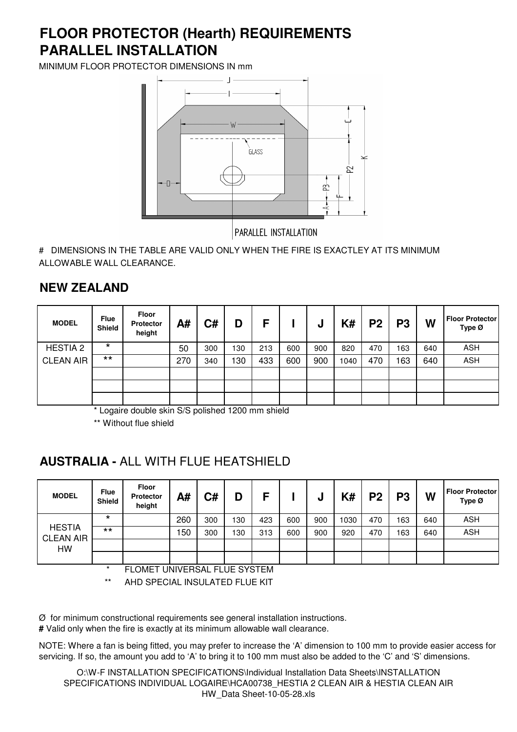## **PARALLEL INSTALLATION FLOOR PROTECTOR (Hearth) REQUIREMENTS**

MINIMUM FLOOR PROTECTOR DIMENSIONS IN mm



# DIMENSIONS IN THE TABLE ARE VALID ONLY WHEN THE FIRE IS EXACTLEY AT ITS MINIMUM ALLOWABLE WALL CLEARANCE.

### **NEW ZEALAND**

| <b>MODEL</b>     | <b>Flue</b><br>Shield | <b>Floor</b><br><b>Protector</b><br>height | A#  | C#  | D   | F   |     | u   | K#   | P <sub>2</sub> | P <sub>3</sub> | W   | <b>Floor Protector</b><br>Type Ø |
|------------------|-----------------------|--------------------------------------------|-----|-----|-----|-----|-----|-----|------|----------------|----------------|-----|----------------------------------|
| <b>HESTIA 2</b>  | $\star$               |                                            | 50  | 300 | 130 | 213 | 600 | 900 | 820  | 470            | 163            | 640 | <b>ASH</b>                       |
| <b>CLEAN AIR</b> | $***$                 |                                            | 270 | 340 | 130 | 433 | 600 | 900 | 1040 | 470            | 163            | 640 | <b>ASH</b>                       |
|                  |                       |                                            |     |     |     |     |     |     |      |                |                |     |                                  |
|                  |                       |                                            |     |     |     |     |     |     |      |                |                |     |                                  |
|                  |                       |                                            |     |     |     |     |     |     |      |                |                |     |                                  |

\* Logaire double skin S/S polished 1200 mm shield

\*\* Without flue shield

### **AUSTRALIA -** ALL WITH FLUE HEATSHIELD

| <b>MODEL</b>                      | <b>Flue</b><br><b>Shield</b> | Floor<br><b>Protector</b><br>height | A#  | C#  | D   | с   |     | υ   | K#   | P <sub>2</sub> | P3  | W   | <b>Floor Protector</b><br>Type Ø |
|-----------------------------------|------------------------------|-------------------------------------|-----|-----|-----|-----|-----|-----|------|----------------|-----|-----|----------------------------------|
|                                   | $\star$                      |                                     | 260 | 300 | 130 | 423 | 600 | 900 | 1030 | 470            | 163 | 640 | <b>ASH</b>                       |
| <b>HESTIA</b><br><b>CLEAN AIR</b> | $***$                        |                                     | 150 | 300 | 130 | 313 | 600 | 900 | 920  | 470            | 163 | 640 | <b>ASH</b>                       |
| HW                                |                              |                                     |     |     |     |     |     |     |      |                |     |     |                                  |
|                                   |                              |                                     |     |     |     |     |     |     |      |                |     |     |                                  |

\* FLOMET UNIVERSAL FLUE SYSTEM

\*\* AHD SPECIAL INSULATED FLUE KIT

 $\varnothing$  for minimum constructional requirements see general installation instructions.

**#** Valid only when the fire is exactly at its minimum allowable wall clearance.

NOTE: Where a fan is being fitted, you may prefer to increase the 'A' dimension to 100 mm to provide easier access for servicing. If so, the amount you add to 'A' to bring it to 100 mm must also be added to the 'C' and 'S' dimensions.

O:\W-F INSTALLATION SPECIFICATIONS\Individual Installation Data Sheets\INSTALLATION SPECIFICATIONS INDIVIDUAL LOGAIRE\HCA00738 HESTIA 2 CLEAN AIR & HESTIA CLEAN AIR HW\_Data Sheet-10-05-28.xls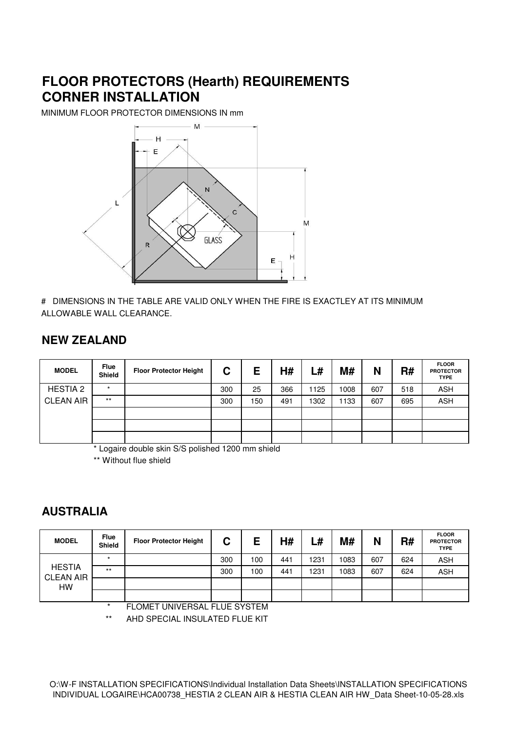## **FLOOR PROTECTORS (Hearth) REQUIREMENTS CORNER INSTALLATION**

MINIMUM FLOOR PROTECTOR DIMENSIONS IN mm



# DIMENSIONS IN THE TABLE ARE VALID ONLY WHEN THE FIRE IS EXACTLEY AT ITS MINIMUM ALLOWABLE WALL CLEARANCE.

#### **NEW ZEALAND**

| <b>MODEL</b>     | <b>Flue</b><br><b>Shield</b> | <b>Floor Protector Height</b> | С   | E   | H#  | L#   | M#   | N   | R#  | <b>FLOOR</b><br><b>PROTECTOR</b><br><b>TYPE</b> |
|------------------|------------------------------|-------------------------------|-----|-----|-----|------|------|-----|-----|-------------------------------------------------|
| <b>HESTIA 2</b>  | $\star$                      |                               | 300 | 25  | 366 | 1125 | 1008 | 607 | 518 | <b>ASH</b>                                      |
| <b>CLEAN AIR</b> | $***$                        |                               | 300 | 150 | 491 | 1302 | 1133 | 607 | 695 | <b>ASH</b>                                      |
|                  |                              |                               |     |     |     |      |      |     |     |                                                 |
|                  |                              |                               |     |     |     |      |      |     |     |                                                 |
|                  |                              |                               |     |     |     |      |      |     |     |                                                 |

\* Logaire double skin S/S polished 1200 mm shield

\*\* Without flue shield

#### **AUSTRALIA**

| <b>MODEL</b>                      | <b>Flue</b><br><b>Shield</b> | <b>Floor Protector Height</b> | С   | Е   | H#  | –#   | M#   | N   | R#  | <b>FLOOR</b><br><b>PROTECTOR</b><br><b>TYPE</b> |
|-----------------------------------|------------------------------|-------------------------------|-----|-----|-----|------|------|-----|-----|-------------------------------------------------|
|                                   | $\star$                      |                               | 300 | 100 | 441 | 1231 | 1083 | 607 | 624 | <b>ASH</b>                                      |
| <b>HESTIA</b><br><b>CLEAN AIR</b> | $***$                        |                               | 300 | 100 | 441 | 1231 | 1083 | 607 | 624 | <b>ASH</b>                                      |
| HW                                |                              |                               |     |     |     |      |      |     |     |                                                 |
|                                   |                              |                               |     |     |     |      |      |     |     |                                                 |

FLOMET UNIVERSAL FLUE SYSTEM

\*\* AHD SPECIAL INSULATED FLUE KIT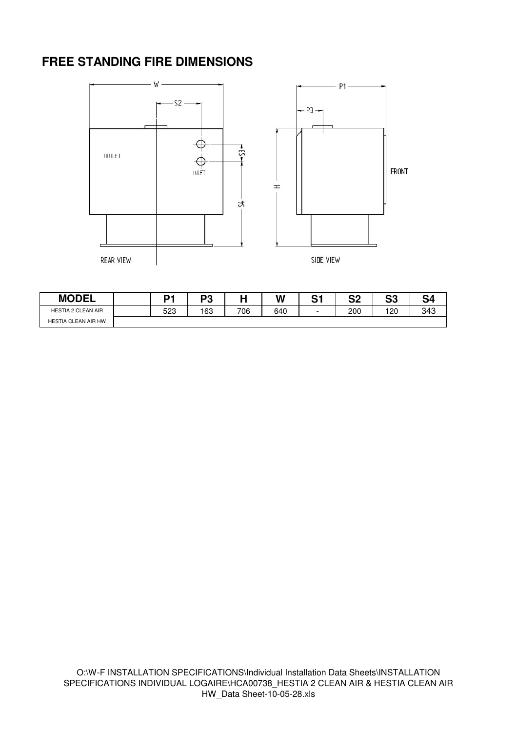### **FREE STANDING FIRE DIMENSIONS**



| <b>MODEL</b>              | n-  | ng  |     | W   | ∩⊿<br>∼ | n.<br>JZ | ິ<br>JJ | ິ   |
|---------------------------|-----|-----|-----|-----|---------|----------|---------|-----|
| <b>HESTIA 2 CLEAN AIR</b> | 523 | 163 | 706 | 640 | -       | 200      | 120     | 343 |
| HESTIA CLEAN AIR HW       |     |     |     |     |         |          |         |     |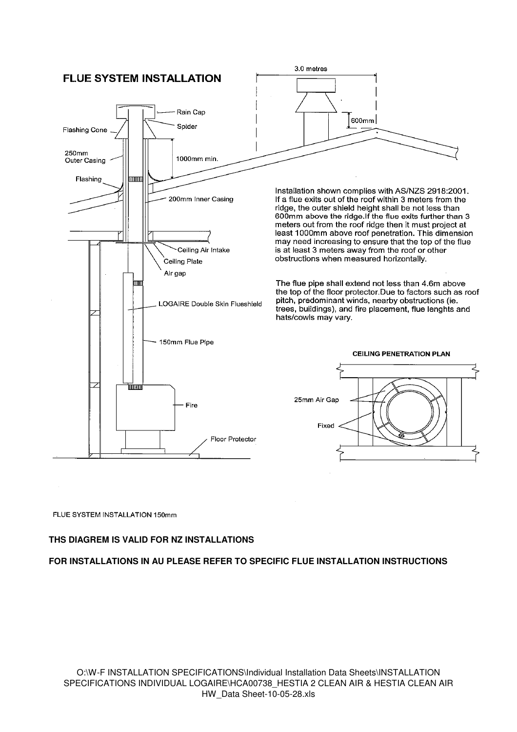

#### FLUE SYSTEM INSTALLATION 150mm

#### **THS DIAGREM IS VALID FOR NZ INSTALLATIONS**

#### **FOR INSTALLATIONS IN AU PLEASE REFER TO SPECIFIC FLUE INSTALLATION INSTRUCTIONS**